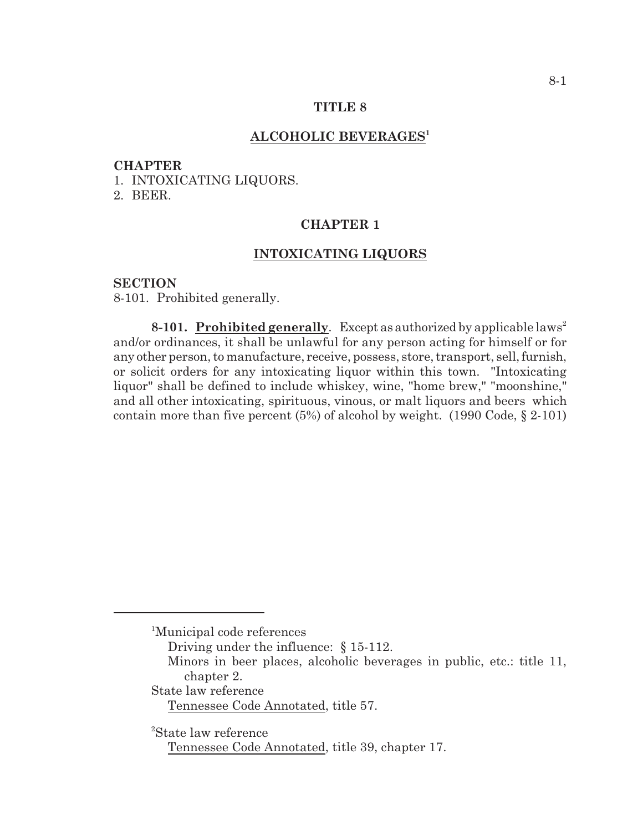#### **TITLE 8**

#### **ALCOHOLIC BEVERAGES<sup>1</sup>**

#### **CHAPTER**

1. INTOXICATING LIQUORS.

2. BEER.

### **CHAPTER 1**

## **INTOXICATING LIQUORS**

#### **SECTION**

8-101. Prohibited generally.

**8-101. Prohibited generally.** Except as authorized by applicable laws<sup>2</sup> and/or ordinances, it shall be unlawful for any person acting for himself or for any other person, to manufacture, receive, possess, store, transport, sell, furnish, or solicit orders for any intoxicating liquor within this town. "Intoxicating liquor" shall be defined to include whiskey, wine, "home brew," "moonshine," and all other intoxicating, spirituous, vinous, or malt liquors and beers which contain more than five percent  $(5%)$  of alcohol by weight.  $(1990 \text{ Code}, \S 2-101)$ 

<sup>1</sup>Municipal code references

Driving under the influence: § 15-112.

Minors in beer places, alcoholic beverages in public, etc.: title 11, chapter 2.

State law reference

Tennessee Code Annotated, title 57.

<sup>2</sup>State law reference

Tennessee Code Annotated, title 39, chapter 17.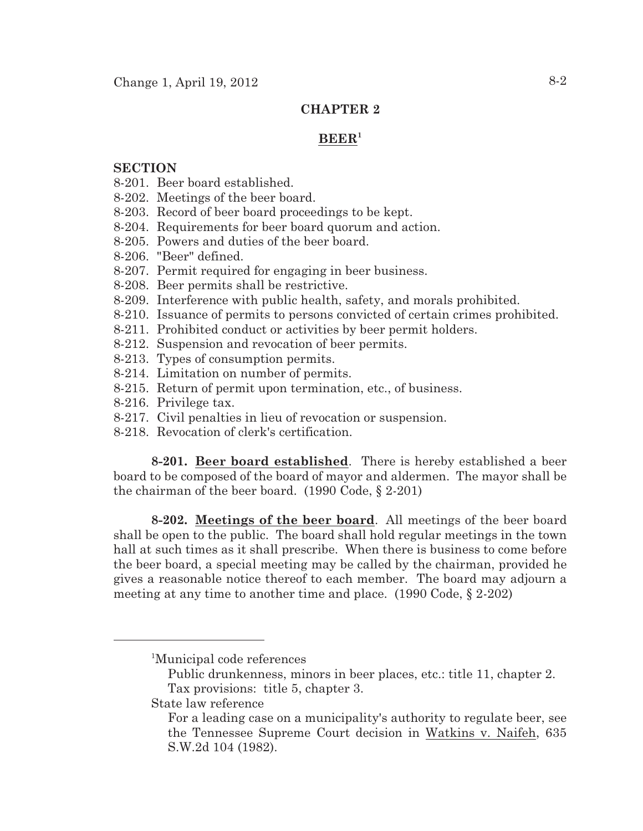## **CHAPTER 2**

# **BEER<sup>1</sup>**

### **SECTION**

- 8-201. Beer board established.
- 8-202. Meetings of the beer board.
- 8-203. Record of beer board proceedings to be kept.
- 8-204. Requirements for beer board quorum and action.
- 8-205. Powers and duties of the beer board.
- 8-206. "Beer" defined.
- 8-207. Permit required for engaging in beer business.
- 8-208. Beer permits shall be restrictive.
- 8-209. Interference with public health, safety, and morals prohibited.
- 8-210. Issuance of permits to persons convicted of certain crimes prohibited.
- 8-211. Prohibited conduct or activities by beer permit holders.
- 8-212. Suspension and revocation of beer permits.
- 8-213. Types of consumption permits.
- 8-214. Limitation on number of permits.
- 8-215. Return of permit upon termination, etc., of business.
- 8-216. Privilege tax.
- 8-217. Civil penalties in lieu of revocation or suspension.
- 8-218. Revocation of clerk's certification.

**8-201. Beer board established**. There is hereby established a beer board to be composed of the board of mayor and aldermen. The mayor shall be the chairman of the beer board. (1990 Code, § 2-201)

**8-202. Meetings of the beer board**. All meetings of the beer board shall be open to the public. The board shall hold regular meetings in the town hall at such times as it shall prescribe. When there is business to come before the beer board, a special meeting may be called by the chairman, provided he gives a reasonable notice thereof to each member. The board may adjourn a meeting at any time to another time and place. (1990 Code, § 2-202)

Public drunkenness, minors in beer places, etc.: title 11, chapter 2.

State law reference

<sup>&</sup>lt;sup>1</sup>Municipal code references

Tax provisions: title 5, chapter 3.

For a leading case on a municipality's authority to regulate beer, see the Tennessee Supreme Court decision in Watkins v. Naifeh, 635 S.W.2d 104 (1982).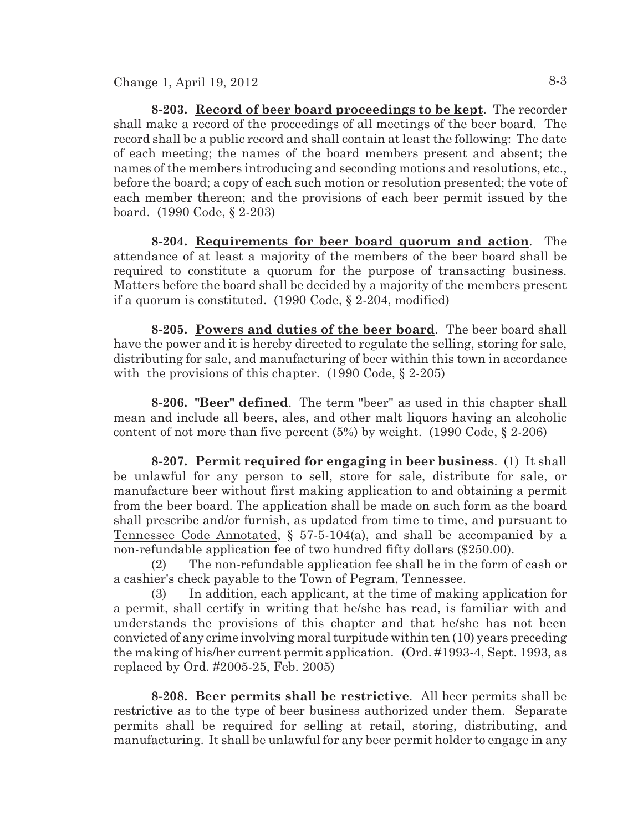**8-203. Record of beer board proceedings to be kept**. The recorder shall make a record of the proceedings of all meetings of the beer board. The record shall be a public record and shall contain at least the following: The date of each meeting; the names of the board members present and absent; the names of the members introducing and seconding motions and resolutions, etc., before the board; a copy of each such motion or resolution presented; the vote of each member thereon; and the provisions of each beer permit issued by the board. (1990 Code, § 2-203)

**8-204. Requirements for beer board quorum and action**. The attendance of at least a majority of the members of the beer board shall be required to constitute a quorum for the purpose of transacting business. Matters before the board shall be decided by a majority of the members present if a quorum is constituted. (1990 Code, § 2-204, modified)

**8-205. Powers and duties of the beer board**. The beer board shall have the power and it is hereby directed to regulate the selling, storing for sale, distributing for sale, and manufacturing of beer within this town in accordance with the provisions of this chapter. (1990 Code, § 2-205)

**8-206. "Beer" defined**. The term "beer" as used in this chapter shall mean and include all beers, ales, and other malt liquors having an alcoholic content of not more than five percent  $(5%)$  by weight.  $(1990 \text{ Code}, \S 2-206)$ 

**8-207. Permit required for engaging in beer business**. (1) It shall be unlawful for any person to sell, store for sale, distribute for sale, or manufacture beer without first making application to and obtaining a permit from the beer board. The application shall be made on such form as the board shall prescribe and/or furnish, as updated from time to time, and pursuant to Tennessee Code Annotated, § 57-5-104(a), and shall be accompanied by a non-refundable application fee of two hundred fifty dollars (\$250.00).

(2) The non-refundable application fee shall be in the form of cash or a cashier's check payable to the Town of Pegram, Tennessee.

(3) In addition, each applicant, at the time of making application for a permit, shall certify in writing that he/she has read, is familiar with and understands the provisions of this chapter and that he/she has not been convicted of any crime involving moral turpitude within ten (10) years preceding the making of his/her current permit application. (Ord. #1993-4, Sept. 1993, as replaced by Ord. #2005-25, Feb. 2005)

**8-208. Beer permits shall be restrictive**. All beer permits shall be restrictive as to the type of beer business authorized under them. Separate permits shall be required for selling at retail, storing, distributing, and manufacturing. It shall be unlawful for any beer permit holder to engage in any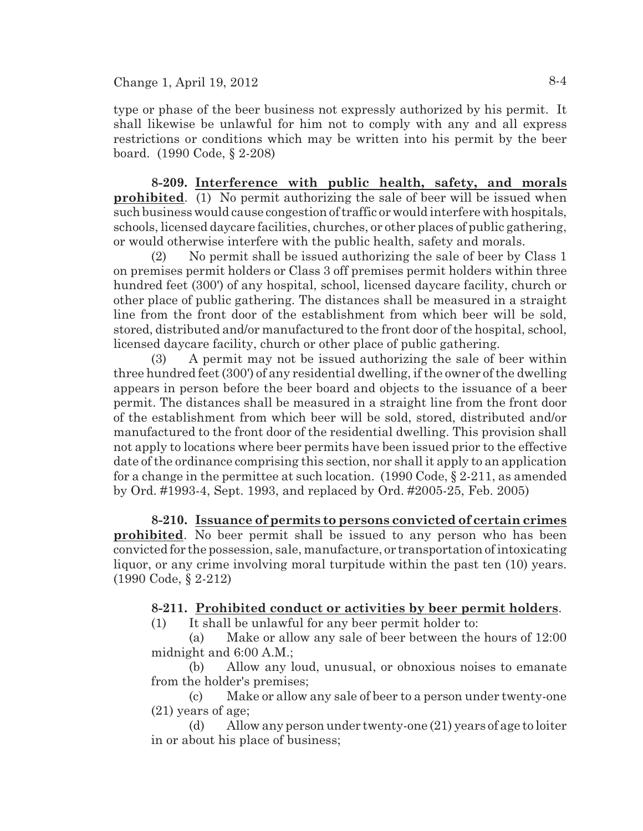type or phase of the beer business not expressly authorized by his permit. It shall likewise be unlawful for him not to comply with any and all express restrictions or conditions which may be written into his permit by the beer board. (1990 Code, § 2-208)

**8-209. Interference with public health, safety, and morals prohibited.** (1) No permit authorizing the sale of beer will be issued when such business would cause congestion of traffic or would interfere with hospitals, schools, licensed daycare facilities, churches, or other places of public gathering, or would otherwise interfere with the public health, safety and morals.

(2) No permit shall be issued authorizing the sale of beer by Class 1 on premises permit holders or Class 3 off premises permit holders within three hundred feet (300') of any hospital, school, licensed daycare facility, church or other place of public gathering. The distances shall be measured in a straight line from the front door of the establishment from which beer will be sold, stored, distributed and/or manufactured to the front door of the hospital, school, licensed daycare facility, church or other place of public gathering.

(3) A permit may not be issued authorizing the sale of beer within three hundred feet (300') of any residential dwelling, if the owner of the dwelling appears in person before the beer board and objects to the issuance of a beer permit. The distances shall be measured in a straight line from the front door of the establishment from which beer will be sold, stored, distributed and/or manufactured to the front door of the residential dwelling. This provision shall not apply to locations where beer permits have been issued prior to the effective date of the ordinance comprising this section, nor shall it apply to an application for a change in the permittee at such location. (1990 Code, § 2-211, as amended by Ord. #1993-4, Sept. 1993, and replaced by Ord. #2005-25, Feb. 2005)

**8-210. Issuance of permits to persons convicted of certain crimes prohibited**. No beer permit shall be issued to any person who has been convicted for the possession, sale, manufacture, or transportation of intoxicating liquor, or any crime involving moral turpitude within the past ten (10) years. (1990 Code, § 2-212)

## **8-211. Prohibited conduct or activities by beer permit holders**.

(1) It shall be unlawful for any beer permit holder to:

(a) Make or allow any sale of beer between the hours of 12:00 midnight and 6:00 A.M.;

(b) Allow any loud, unusual, or obnoxious noises to emanate from the holder's premises;

(c) Make or allow any sale of beer to a person under twenty-one (21) years of age;

(d) Allow any person under twenty-one (21) years of age to loiter in or about his place of business;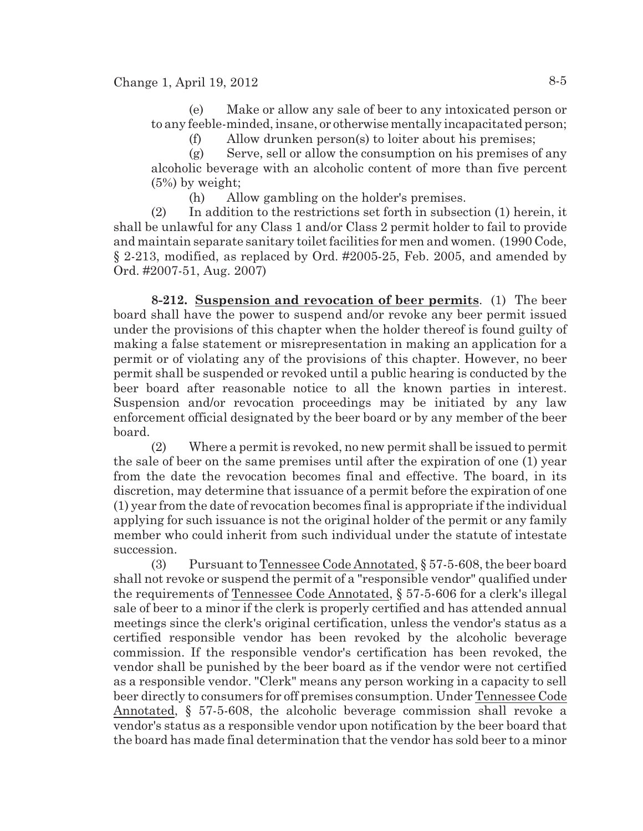(e) Make or allow any sale of beer to any intoxicated person or to any feeble-minded, insane, or otherwise mentally incapacitated person;

(f) Allow drunken person(s) to loiter about his premises;

(g) Serve, sell or allow the consumption on his premises of any alcoholic beverage with an alcoholic content of more than five percent (5%) by weight;

(h) Allow gambling on the holder's premises.

(2) In addition to the restrictions set forth in subsection (1) herein, it shall be unlawful for any Class 1 and/or Class 2 permit holder to fail to provide and maintain separate sanitary toilet facilities for men and women. (1990 Code, § 2-213, modified, as replaced by Ord. #2005-25, Feb. 2005, and amended by Ord. #2007-51, Aug. 2007)

**8-212. Suspension and revocation of beer permits**. (1) The beer board shall have the power to suspend and/or revoke any beer permit issued under the provisions of this chapter when the holder thereof is found guilty of making a false statement or misrepresentation in making an application for a permit or of violating any of the provisions of this chapter. However, no beer permit shall be suspended or revoked until a public hearing is conducted by the beer board after reasonable notice to all the known parties in interest. Suspension and/or revocation proceedings may be initiated by any law enforcement official designated by the beer board or by any member of the beer board.

(2) Where a permit is revoked, no new permit shall be issued to permit the sale of beer on the same premises until after the expiration of one (1) year from the date the revocation becomes final and effective. The board, in its discretion, may determine that issuance of a permit before the expiration of one (1) year from the date of revocation becomes final is appropriate if the individual applying for such issuance is not the original holder of the permit or any family member who could inherit from such individual under the statute of intestate succession.

(3) Pursuant to Tennessee Code Annotated, § 57-5-608, the beer board shall not revoke or suspend the permit of a "responsible vendor" qualified under the requirements of Tennessee Code Annotated, § 57-5-606 for a clerk's illegal sale of beer to a minor if the clerk is properly certified and has attended annual meetings since the clerk's original certification, unless the vendor's status as a certified responsible vendor has been revoked by the alcoholic beverage commission. If the responsible vendor's certification has been revoked, the vendor shall be punished by the beer board as if the vendor were not certified as a responsible vendor. "Clerk" means any person working in a capacity to sell beer directly to consumers for off premises consumption. Under Tennessee Code Annotated, § 57-5-608, the alcoholic beverage commission shall revoke a vendor's status as a responsible vendor upon notification by the beer board that the board has made final determination that the vendor has sold beer to a minor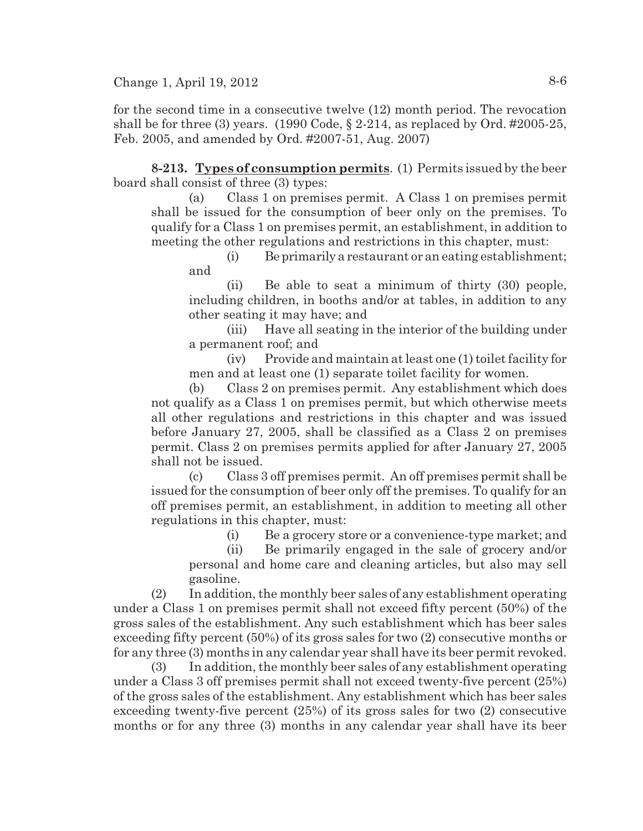for the second time in a consecutive twelve (12) month period. The revocation shall be for three (3) years. (1990 Code,  $\S 2-214$ , as replaced by Ord. #2005-25, Feb. 2005, and amended by Ord. #2007-51, Aug. 2007)

**8-213. Types of consumption permits**. (1) Permits issued by the beer board shall consist of three (3) types:

(a) Class 1 on premises permit. A Class 1 on premises permit shall be issued for the consumption of beer only on the premises. To qualify for a Class 1 on premises permit, an establishment, in addition to meeting the other regulations and restrictions in this chapter, must:

(i) Be primarily a restaurant or an eating establishment; and

(ii) Be able to seat a minimum of thirty (30) people, including children, in booths and/or at tables, in addition to any other seating it may have; and

(iii) Have all seating in the interior of the building under a permanent roof; and

(iv) Provide and maintain at least one (1) toilet facility for men and at least one (1) separate toilet facility for women.

(b) Class 2 on premises permit. Any establishment which does not qualify as a Class 1 on premises permit, but which otherwise meets all other regulations and restrictions in this chapter and was issued before January 27, 2005, shall be classified as a Class 2 on premises permit. Class 2 on premises permits applied for after January 27, 2005 shall not be issued.

(c) Class 3 off premises permit. An off premises permit shall be issued for the consumption of beer only off the premises. To qualify for an off premises permit, an establishment, in addition to meeting all other regulations in this chapter, must:

(i) Be a grocery store or a convenience-type market; and

(ii) Be primarily engaged in the sale of grocery and/or personal and home care and cleaning articles, but also may sell gasoline.

(2) In addition, the monthly beer sales of any establishment operating under a Class 1 on premises permit shall not exceed fifty percent (50%) of the gross sales of the establishment. Any such establishment which has beer sales exceeding fifty percent (50%) of its gross sales for two (2) consecutive months or for any three (3) months in any calendar year shall have its beer permit revoked.

(3) In addition, the monthly beer sales of any establishment operating under a Class 3 off premises permit shall not exceed twenty-five percent (25%) of the gross sales of the establishment. Any establishment which has beer sales exceeding twenty-five percent (25%) of its gross sales for two (2) consecutive months or for any three (3) months in any calendar year shall have its beer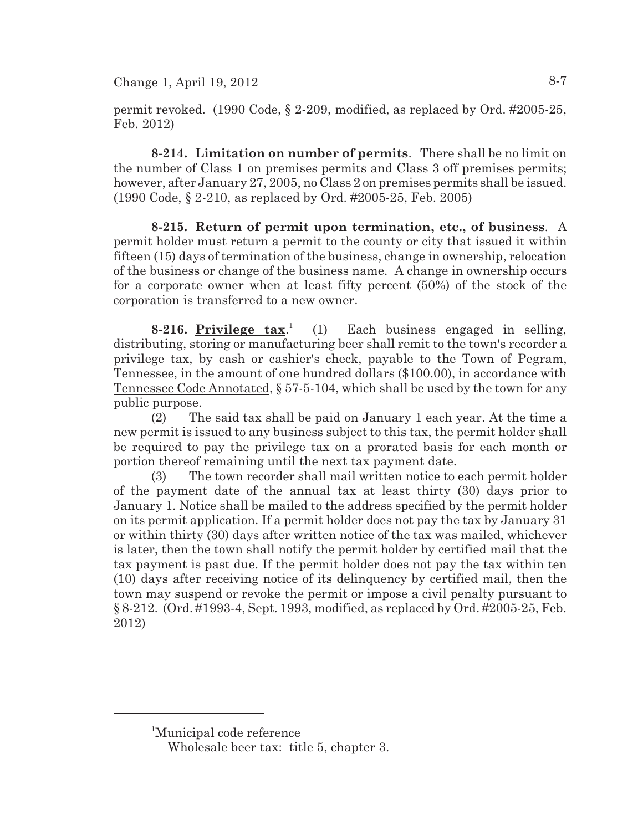Change 1, April 19, 2012  $8-7$ 

permit revoked. (1990 Code, § 2-209, modified, as replaced by Ord. #2005-25, Feb. 2012)

**8-214. Limitation on number of permits**. There shall be no limit on the number of Class 1 on premises permits and Class 3 off premises permits; however, after January 27, 2005, no Class 2 on premises permits shall be issued. (1990 Code, § 2-210, as replaced by Ord. #2005-25, Feb. 2005)

**8-215. Return of permit upon termination, etc., of business**. A permit holder must return a permit to the county or city that issued it within fifteen (15) days of termination of the business, change in ownership, relocation of the business or change of the business name. A change in ownership occurs for a corporate owner when at least fifty percent (50%) of the stock of the corporation is transferred to a new owner.

**8-216. Privilege tax.** (1) Each business engaged in selling, distributing, storing or manufacturing beer shall remit to the town's recorder a privilege tax, by cash or cashier's check, payable to the Town of Pegram, Tennessee, in the amount of one hundred dollars (\$100.00), in accordance with Tennessee Code Annotated, § 57-5-104, which shall be used by the town for any public purpose.

(2) The said tax shall be paid on January 1 each year. At the time a new permit is issued to any business subject to this tax, the permit holder shall be required to pay the privilege tax on a prorated basis for each month or portion thereof remaining until the next tax payment date.

(3) The town recorder shall mail written notice to each permit holder of the payment date of the annual tax at least thirty (30) days prior to January 1. Notice shall be mailed to the address specified by the permit holder on its permit application. If a permit holder does not pay the tax by January 31 or within thirty (30) days after written notice of the tax was mailed, whichever is later, then the town shall notify the permit holder by certified mail that the tax payment is past due. If the permit holder does not pay the tax within ten (10) days after receiving notice of its delinquency by certified mail, then the town may suspend or revoke the permit or impose a civil penalty pursuant to § 8-212. (Ord. #1993-4, Sept. 1993, modified, as replaced by Ord. #2005-25, Feb. 2012)

<sup>&</sup>lt;sup>1</sup>Municipal code reference

Wholesale beer tax: title 5, chapter 3.